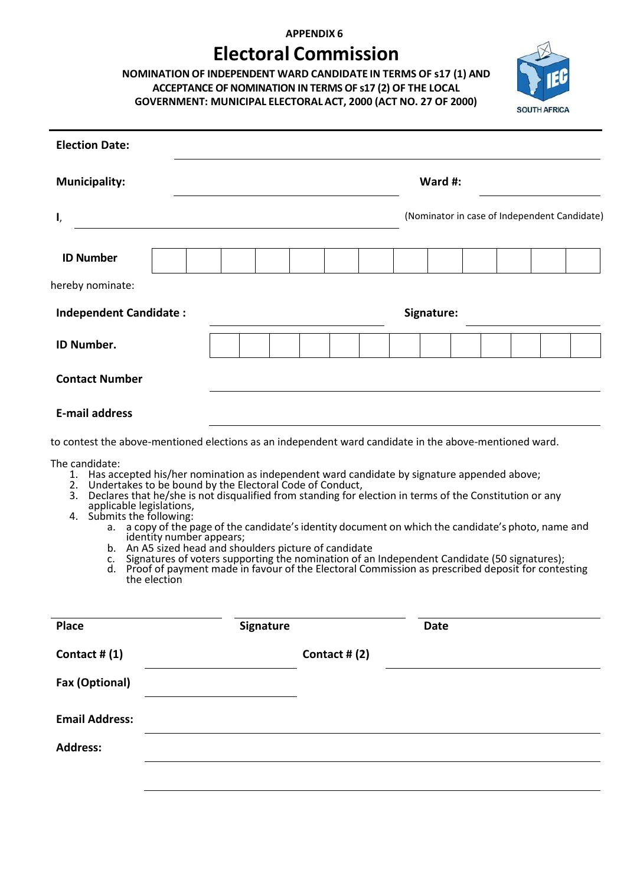## **APPENDIX 6**